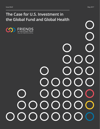**The Case for U.S. Investment in the Global Fund and Global Health**

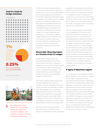# **Total U.S. funds for foreign assistance**

**TOTAL BUDGET** 



of the total of

U.S. federal spending goes toward foreign assistance.

 $0.25%$ 

*of U.S. federal spending goes toward global health.*

Source: U.S. Government



*By challenging the status quo in how the world fights disease, the Global Fund represents an efficient and innovative model of U.S. health leadership and diplomacy.*

In 2002, the United States joined with countries across the world to create the Global Fund, a 21st century public-private partnership designed to accelerate the end of AIDS, tuberculosis (TB) and malaria as epidemics. The Global Fund has helped achieve extraordinary progress in the fight against these deadly diseases. By challenging the status quo in how the world fights disease, the Global Fund represents an efficient and innovative model of U.S. health leadership and diplomacy. U.S. investment in global health represents one of the few areas that has won consistent, bipartisan American support, or produced such concrete economic, security and humanitarian gains for the U.S. and the world.

# **Measurable, lifesaving impact at a fraction of the U.S. budget**

Global health programming has expanded significantly over the last two decades, with the U.S. playing a leadership role. As Vice President Pence said during the 2008 reauthorization of the U.S. global AIDS program, "The United States has a moral obligation to lead the world in confronting the pandemic of HIV/AIDS."1

The impact of global health investments has been startling. Since 1990, the number of annual child deaths has been cut by more than one half. Approximately 18.2 million people are now receiving lifesaving AIDS treatment.2 The malaria death rate among children under age 5 is down 69 percent since 2000.<sup>3</sup> Efforts to diagnose and treat TB, a disease that has plagued humanity for centuries, have saved millions of lives in the same period.

Working closely with governments, the private sector and faith-based partners, the Global Fund has supported

programs that have saved more than 20 million lives since 2002.4 From 2017 to 2019, Global Fund-supported programs are expected to save an additional 17 million lives, avert more than 245 million HIV/AIDS, TB and malaria infections, help build resilient and sustainable systems for health, and support future economic gains of up to \$284 billion.

This remarkable progress has brought us to a tipping point in efforts to end AIDS, TB and malaria as epidemics for good, but there is a real possibility of backsliding without steady investment to reach the finish line. Global health aid currently constitutes about a quarter of 1 percent of the U.S. federal budget,<sup>5</sup> but the American public supports doing more; a 2016 Kaiser Family Foundation poll found that Americans' support for foreign assistance increases when they learn how small a fraction of the budget these investments represent.6 Now is the time to invest to end these epidemics for good, or risk losing the crucial gains made to date.

# **A legacy of bipartisan support**

U.S. investment in the Global Fund and global health has won bipartisan support across eight Congresses and two presidential administrations. Republican and Democratic policymakers agree that, together, investments in public-private partnerships like the Global Fund and bilateral programs like the President's Emergency Plan for AIDS Relief (PEPFAR), the President's Malaria Initiative (PMI) and USAID's TB program are among our greatest foreign policy successes. At a small fraction of the federal budget, the U.S. remains the Global Fund's leading donor, providing one-third of funds pledged from governments to the Global Fund since its creation in 2002.7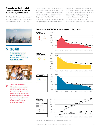# **A transformation in global health aid – results-oriented, transparent, accountable**

The Global Fund represents a new kind of funding approach that is transparent, results-oriented, and builds country

ownership for the future. As the world's largest public health financier, the Global Fund has zero tolerance for corruption or fraud. And, like the Millennial Challenge Corporation, the Global Fund requires evidence of results for continued support. Transparency and accountability are an

integral part of Global Fund operations, from the grant-making and procurement processes to the comprehensive financial data provided on the partnership's website. To ensure that lifesaving investments are as efficient and accountable as possible, the Board of the



**\$ 284B**

*in future economic gains from 2017 to 2019 are expected from Global Fundsupported programs.*



*The Global Fund and U.S. bilateral programs such as PEPFAR and PMI reinforce each other's work across the globe, working hand-in-hand to avoid duplication, increase transparency and financial efficiency, and scale up innovative programs.* 



Sources: UNAIDS, World Health Organization and the Global Fund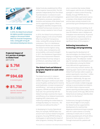

**# 5 / 46**

*In 2016, the Global Fund achieved the highest possible transparency category in the annual Publish What You Fund Aid Transparency Index, ranking fifth among 46 international development donors.*

**Projected impact of U.S. portion of pledges to Global Fund** (2017–2019)

**5.7M** *lives saved.*

**<u>■ \$94.6B</u>** *in economic gains.*



*infections averted.*

Source: Friends of the Global Fight, based on Global Fund projections

Global Fund also established the Office of the Inspector General (OIG). The OIG operates independently from the Global Fund Secretariat. It conducts its work through robust audits and investigations of all systems, processes, operations, functions and activities of the Global Fund and its supported programs. When an investigation identifies misspent funds, the Global Fund pursues recovery so no donor money is wasted or lost to fraud.

In 2016, the Global Fund achieved the highest category in the annual Publish What You Fund Aid Transparency Index, ranking fifth among 46 donor institutions. The U.K.'s Multilateral Development Review also awarded the Global Fund the highest rating for results, value, transparency and accountability, and overall strength.<sup>9</sup> In 2017, the Multilateral Organization Performance Assessment Network gave the Global Fund top ratings in architecture, operating model, and transparency and accountability.

# **The Global Fund and bilateral programs depend on each other for impact**

The Global Fund and U.S. bilateral programs such as PEPFAR, PMI and USAID's TB program reinforce each other across the globe, working hand-in-hand to avoid duplication, increase transparency<sup>10</sup> and efficiency, $11$  and scale up innovative programs. PEPFAR and USAID officials have said, "Our partnership with the Global Fund helps maximize the impact and efficiency of our bilateral investments targeting AIDS, tuberculosis, and malaria by enabling the United States to strategically deploy our resources... We can't have one without the other."<sup>12</sup>

In developing its Country Operational Plans, for example, PEPFAR takes into account each country's Global Fund grant programs, focusing PEPFAR funding on closing gaps or optimizing the impact of other programs. Similarly, PMI operates

only in countries that receive Global Fund support, with the aim of catalyzing synergies in malaria control financing. Notably, through PEPFAR, the U.S. government holds a permanent seat as a member of the Global Fund's Board, and has been actively involved in the partnership's grant development process.

These partnerships are working. As of January 2017, PEPFAR has reported that new HIV infection rates in Malawi and Zimbabwe have declined by 76 percent and 67 percent, respectively, and cite the Global Fund as responsible for a significant share of this progress.<sup>13</sup>

# **Delivering innovations in technology and programming**

By supporting the development of new technologies, the Global Fund is helping to change the way global health programs work. The eMpower mobile app, for example, was developed as part of a collaboration among the Global Fund, IBM and HIV organizations to assist community outreach workers. By replacing paper reports with the app, the Global Fund has been able to speed up patient reporting for more than 1 million people in treatment and prevention programs. Additionally, the app uses images to help patients with limited literacy and includes multiple language settings to accommodate local dialects, all of which help to improve overall patient reporting and data quality. Due to the early success of the app, IBM and the Global fund are looking to identify other uses for it in the future.<sup>14</sup>

Furthermore, through its funding of South Africa's Right to Care project, the Global Fund has supported the development of a machine that dispenses antiretroviral drugs to people with HIV. A pilot scheme is currently underway to install units in rural and densely populated parts of South Africa that are far from a doctor or clinic.<sup>15</sup> Through smartcard IDs, patients will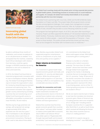

*Global Fund case study:*

# **Innovating global health with the Cola-Cola Company**

# *The Global Fund is working closely with the private sector to bring corporate best practices to global health systems, streamlining processes to increase access to crucial medicines and supplies. For example, the Global Fund recently shared details on its successful partnership with the Coca-Cola Company:*

The Global Fund is partnering with Coca-Cola, USAID and the Bill & Melinda Gates Foundation on Project Last Mile. This project helps African governments connect the dots among logistical challenges, from supply chain management to proper refrigeration and storage of essential medicines. After all, if people can easily access a bottle of Coke, shouldn't they be able to access lifesaving medicines as well?

This program has had significant impact. As of 2012, two years after launching in Tanzania, Project Last Mile supported the delivery of 120 essential medicines to 5,000 health facilities. Previously, medicines were only making it to 500 health facilities. Now, nearly 20 million people — nearly half the population of Tanzania — have access to those facilities. This public-private partnership shows just how many lives can be changed for the better with increased access to medicines.<sup>41</sup>

be able to withdraw three months of medication, and connect via webcam to an on-call pharmacist as needed.16 It is anticipated that the machine, created by South African developers with robotics from Germany, could be a gamechanger in HIV/AIDS treatment by easing obstacles to care such as distance to clinics and travel time.

In 2016, the Global Fund launched an important programmatic innovation with its new e-marketplace initiative, Wambo. org. The Global Fund designed Wambo. org to increase the organization's value for money by streamlining procurement processes and optimizing costs. This procurement innovation also supports greater country ownership by providing countries that are transitioning out of Global Fund financing with access to affordable commodities to prevent and treat HIV/AIDS, TB and malaria.

Wambo.org has huge potential cost savings, with projected net savings of approximately \$250 million expected over the next four years.<sup>17</sup> The e-marketplace is also designed to drastically reduce wait times on procurement transactions. Placing an order used to take about three weeks. Now, Wambo.org provides Global Fundsupported programs instantaneous access to comparisons on price, lead time and quantity across suppliers.<sup>18</sup>

# **Major returns on investment for America**

U.S. investment in global health helps expand economic growth and trade, and strengthen U.S. security and diplomatic relations. While the primary goal of global health programs is to save lives, investing in efforts to end epidemics has considerable secondary benefits.

#### **Benefits for economies and trade**

The health gains associated with global health investments translate into profound economic returns in the form of averted future medical costs, enhanced productivity, and improved outcomes for children and future generations.19

Malaria-free countries have five times greater economic growth than countries with malaria,<sup>20</sup> and every dollar invested in malaria control yields \$40 in economic returns (\$60 in sub-Saharan Africa).<sup>21</sup> Every dollar spent on TB generates \$30 through improved health and increased productivity.22 Just maintaining the current

U.S. commitment to the Global Fund alone could support at least \$94.6 billion in economic gains in coming years.<sup>23</sup>

Disease is a burden on a family's finances and a nation's economic potential. The more than 20 million people24 whose lives have been saved through Global Fund-supported programs live mainly in developing countries that are increasingly critical to the U.S. economy. Today, 95 percent of the world's consumers live outside U.S. borders. The poorest two-thirds of the global population represent \$5 trillion in purchasing power, and six of the 13 fastest-growing economies in the world are located in Africa.25

We do not need to look far back in history to see how this translates into American economic gains. Eleven of America's top 15 trading partners were once recipients of U.S. foreign aid,<sup>26</sup> including several European countries the U.S. supported after World War II, as well as South Korea, which received aid following the Korean War. Now, these countries serve as critical U.S. trading partners.<sup>27</sup>

A full half of U.S. exports now go to developing countries<sup>28</sup> –over \$600 billion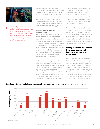

*The health gains associated with global health investments translate into profound economic returns, in the form of averted future medical costs, enhanced productivity, and improved outcomes for children and future generations.12*

annually and more than U.S. exports to China, Europe and Japan combined.<sup>29</sup> This represents an increase of more than 400 percent over the last 20 years.<sup>30</sup> And U.S. exports translate directly into American jobs – businesses that export goods provide one in every five U.S. jobs, and these exports are responsible for one in three domestic manufacturing jobs.<sup>31</sup>

## **Benefits for U.S. security and diplomacy**

We have been reminded repeatedly by outbreaks such as Zika and Ebola that disease knows no borders. Containment prevention and evidence-based treatment of epidemics are national security matters that we cannot afford to underestimate or underfund. U.S. investments in disease programs like the Global Fund support strengthened health infrastructure to help prevent future deadly threats like Ebola and Zika from spreading.

Furthermore, investing in global health is an essential part of U.S. diplomacy. Bipartisan analysis has found that global health investments support American diplomacy by generating goodwill, accelerating development, and reducing social and political instability in countries with a heavy burden of infectious diseases.<sup>32</sup> According to surveys, public

opinion regarding the U.S. improves in countries that receive U.S. health assistance.33 Indeed, Africa, where PEPFAR and PMI investments have been concentrated, is the only region in the world where favorable opinions of the U.S. exceed the global average in every country surveyed.<sup>34</sup>

Global health investments help make developing countries stronger, more stable and more prosperous, which in turn paves the way for these countries to solve their own problems, share responsibility for regional and global security challenges, and participate as trading partners with the U.S.

# **Driving increased investment from other donors and implementing countries themselves**

At the September 2016 launch of the Global Fund's Fifth Replenishment, the partnership's 2017-2019 fundraising cycle, international donors pledged nearly \$13 billion to support Global Fund grants over the next three years. The Replenishment launch catalyzed unprecedented pledges of \$250 million from the private sector and faith-based organizations, more than double that



# **Significant Global Fund pledge increases by major donors** (in local currency, 4th to 5th Replenishment)

The Case for U.S. Investment in the Global Fund and Global Health 5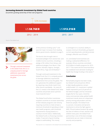#### **Increasing domestic investment by Global Fund countries**

(Countries' growing ownership of their own programs)



Source: The Global Fund





of the previous funding cycle,<sup>35</sup> and spurred major increases from leading donor governments, detailed on page 5.

The launch also brought new or increased pledges from several low- and middle-income countries, including a pledge of \$5 million from Kenya, and additional pledges from Benin, Côte d'Ivoire, Namibia, Nigeria, Senegal, South Africa, Togo and Zimbabwe.36

Through continued investment in the Global Fund, the U.S. is uniquely poised to leverage additional, exponential investments from across the globe. The U.S. galvanizes this additional support by requiring a two-thirds match from other donors worldwide – for every \$1 the U.S. invests in the Global Fund, other countries and private sector partners must invest \$2 more <sup>37</sup>

The Global Fund further incentivizes recipient countries to increase ownership of their disease programs over time by requiring countries to meet at least a minimum threshold of spending on their own health programs, with threshold requirements varying based on a country's income status. Additionally, the Global Fund's co-financing incentive makes 15 percent of grant funding subject to withholding. This money

is contingent on a country's ability to surpass minimum thresholds, go beyond current spending levels, and demonstrate strategic, effective use of funds.<sup>38</sup>

U.S. and Global Fund incentives are making a substantial difference. For example, African countries committed \$10.9 billion to health programs for 2015- 2017.39 This marks the first time that Africa has mobilized more domestic funding for health than foreign funding in the sector.<sup>40</sup>

### **Conclusion**

Remarkable progress has been made, but Global Fund and partner efforts to fight deadly epidemics remain underfunded. U.S. investment in global health represents just 0.25 percent of the federal budget, and has remained largely flat for four years. Amid the many controversies today, global health investment stands alone as a bipartisan priority among policymakers and the American people. The Global Fund is a proven, innovative and dynamic mechanism to drive the fight against AIDS, TB and malaria forward. By saving the lives of millions of men, women and children every year, the Global Fund partnership is one of the best strategic investments we can make in American security and prosperity.